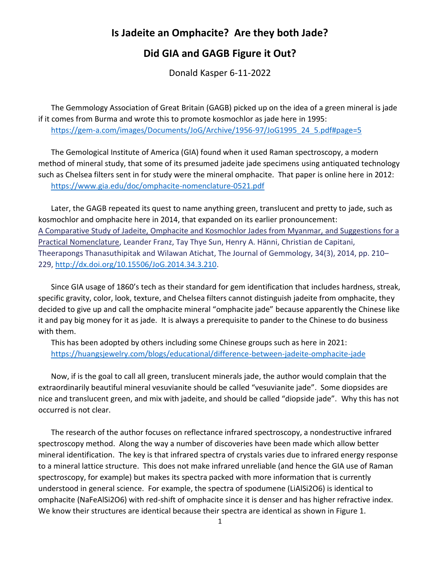## **Is Jadeite an Omphacite? Are they both Jade?**

## **Did GIA and GAGB Figure it Out?**

Donald Kasper 6-11-2022

The Gemmology Association of Great Britain (GAGB) picked up on the idea of a green mineral is jade if it comes from Burma and wrote this to promote kosmochlor as jade here in 1995: [https://gem-a.com/images/Documents/JoG/Archive/1956-97/JoG1995\\_24\\_5.pdf#page=5](https://gem-a.com/images/Documents/JoG/Archive/1956-97/JoG1995_24_5.pdf#page=5)

The Gemological Institute of America (GIA) found when it used Raman spectroscopy, a modern method of mineral study, that some of its presumed jadeite jade specimens using antiquated technology such as Chelsea filters sent in for study were the mineral omphacite. That paper is online here in 2012: <https://www.gia.edu/doc/omphacite-nomenclature-0521.pdf>

Later, the GAGB repeated its quest to name anything green, translucent and pretty to jade, such as kosmochlor and omphacite here in 2014, that expanded on its earlier pronouncement: A Comparative Study of Jadeite, Omphacite and Kosmochlor Jades from Myanmar, and Suggestions for a Practical Nomenclature, Leander Franz, Tay Thye Sun, Henry A. Hänni, Christian de Capitani, Theerapongs Thanasuthipitak and Wilawan Atichat, The Journal of Gemmology, 34(3), 2014, pp. 210– 229, [http://dx.doi.org/10.15506/JoG.2014.34.3.210.](http://dx.doi.org/10.15506/JoG.2014.34.3.210)

Since GIA usage of 1860's tech as their standard for gem identification that includes hardness, streak, specific gravity, color, look, texture, and Chelsea filters cannot distinguish jadeite from omphacite, they decided to give up and call the omphacite mineral "omphacite jade" because apparently the Chinese like it and pay big money for it as jade. It is always a prerequisite to pander to the Chinese to do business with them.

This has been adopted by others including some Chinese groups such as here in 2021: <https://huangsjewelry.com/blogs/educational/difference-between-jadeite-omphacite-jade>

Now, if is the goal to call all green, translucent minerals jade, the author would complain that the extraordinarily beautiful mineral vesuvianite should be called "vesuvianite jade". Some diopsides are nice and translucent green, and mix with jadeite, and should be called "diopside jade". Why this has not occurred is not clear.

The research of the author focuses on reflectance infrared spectroscopy, a nondestructive infrared spectroscopy method. Along the way a number of discoveries have been made which allow better mineral identification. The key is that infrared spectra of crystals varies due to infrared energy response to a mineral lattice structure. This does not make infrared unreliable (and hence the GIA use of Raman spectroscopy, for example) but makes its spectra packed with more information that is currently understood in general science. For example, the spectra of spodumene (LiAlSi2O6) is identical to omphacite (NaFeAlSi2O6) with red-shift of omphacite since it is denser and has higher refractive index. We know their structures are identical because their spectra are identical as shown in Figure 1.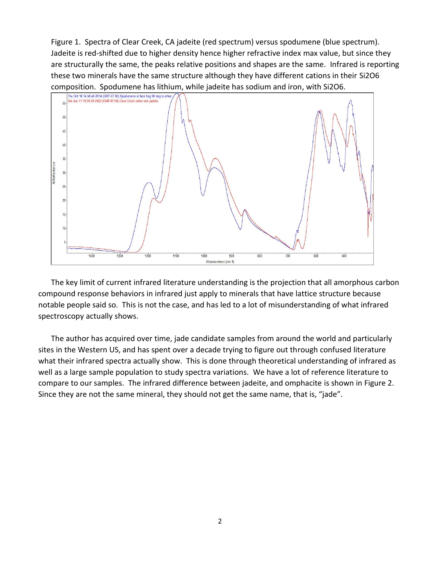Figure 1. Spectra of Clear Creek, CA jadeite (red spectrum) versus spodumene (blue spectrum). Jadeite is red-shifted due to higher density hence higher refractive index max value, but since they are structurally the same, the peaks relative positions and shapes are the same. Infrared is reporting these two minerals have the same structure although they have different cations in their Si2O6 composition. Spodumene has lithium, while jadeite has sodium and iron, with Si2O6.



The key limit of current infrared literature understanding is the projection that all amorphous carbon compound response behaviors in infrared just apply to minerals that have lattice structure because notable people said so. This is not the case, and has led to a lot of misunderstanding of what infrared spectroscopy actually shows.

The author has acquired over time, jade candidate samples from around the world and particularly sites in the Western US, and has spent over a decade trying to figure out through confused literature what their infrared spectra actually show. This is done through theoretical understanding of infrared as well as a large sample population to study spectra variations. We have a lot of reference literature to compare to our samples. The infrared difference between jadeite, and omphacite is shown in Figure 2. Since they are not the same mineral, they should not get the same name, that is, "jade".